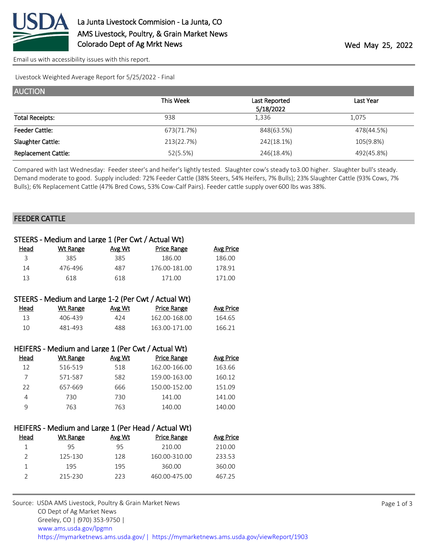

[Email us with accessibility issues with this report.](mailto:mars@ams.usda.gov?subject=508%20issue)

Livestock Weighted Average Report for 5/25/2022 - Final

| <b>AUCTION</b>             |            |               |            |  |  |  |
|----------------------------|------------|---------------|------------|--|--|--|
|                            | This Week  | Last Reported | Last Year  |  |  |  |
|                            |            | 5/18/2022     |            |  |  |  |
| <b>Total Receipts:</b>     | 938        | 1,336         | 1,075      |  |  |  |
| <b>Feeder Cattle:</b>      | 673(71.7%) | 848(63.5%)    | 478(44.5%) |  |  |  |
| Slaughter Cattle:          | 213(22.7%) | 242(18.1%)    | 105(9.8%)  |  |  |  |
| <b>Replacement Cattle:</b> | 52(5.5%)   | 246(18.4%)    | 492(45.8%) |  |  |  |

Compared with last Wednesday: Feeder steer's and heifer's lightly tested. Slaughter cow's steady to 3.00 higher. Slaughter bull's steady. Demand moderate to good. Supply included: 72% Feeder Cattle (38% Steers, 54% Heifers, 7% Bulls); 23% Slaughter Cattle (93% Cows, 7% Bulls); 6% Replacement Cattle (47% Bred Cows, 53% Cow-Calf Pairs). Feeder cattle supply over 600 lbs was 38%.

## FEEDER CATTLE

| STEERS - Medium and Large 1 (Per Cwt / Actual Wt)  |                                                     |               |                    |                  |  |  |  |
|----------------------------------------------------|-----------------------------------------------------|---------------|--------------------|------------------|--|--|--|
| Head                                               | <b>Wt Range</b>                                     | Avg Wt        | <b>Price Range</b> | <b>Avg Price</b> |  |  |  |
| 3                                                  | 385                                                 | 385           | 186.00             | 186.00           |  |  |  |
| 14                                                 | 476-496                                             | 487           | 176.00-181.00      | 178.91           |  |  |  |
| 13                                                 | 618                                                 | 618           | 171.00             | 171.00           |  |  |  |
|                                                    |                                                     |               |                    |                  |  |  |  |
|                                                    | STEERS - Medium and Large 1-2 (Per Cwt / Actual Wt) |               |                    |                  |  |  |  |
| <u>Head</u>                                        | <b>Wt Range</b>                                     | <b>Avg Wt</b> | <b>Price Range</b> | <b>Avg Price</b> |  |  |  |
| 13                                                 | 406-439                                             | 424           | 162.00-168.00      | 164.65           |  |  |  |
| 10                                                 | 481-493                                             | 488           | 163.00-171.00      | 166.21           |  |  |  |
|                                                    |                                                     |               |                    |                  |  |  |  |
| HEIFERS - Medium and Large 1 (Per Cwt / Actual Wt) |                                                     |               |                    |                  |  |  |  |
| <u>Head</u>                                        | <b>Wt Range</b>                                     | <b>Avg Wt</b> | <b>Price Range</b> | <b>Avg Price</b> |  |  |  |
| 12                                                 | 516-519                                             | 518           | 162.00-166.00      | 163.66           |  |  |  |
| $\overline{7}$                                     | 571-587                                             | 582           | 159.00-163.00      | 160.12           |  |  |  |
| 22                                                 | 657-669                                             | 666           | 150.00-152.00      | 151.09           |  |  |  |
| 4                                                  | 730                                                 | 730           | 141.00             | 141.00           |  |  |  |
| 9                                                  | 763                                                 | 763           | 140.00             | 140.00           |  |  |  |
|                                                    |                                                     |               |                    |                  |  |  |  |
|                                                    | HEIFERS - Medium and Large 1 (Per Head / Actual Wt) |               |                    |                  |  |  |  |
| Head                                               | <b>Wt Range</b>                                     | Avg Wt        | <b>Price Range</b> | <b>Avg Price</b> |  |  |  |
| $\mathbf{1}$                                       | 95                                                  | 95            | 210.00             | 210.00           |  |  |  |
| $\overline{2}$                                     | 125-130                                             | 128           | 160.00-310.00      | 233.53           |  |  |  |
| $\mathbf{1}$                                       | 195                                                 | 195           | 360.00             | 360.00           |  |  |  |
| $\overline{2}$                                     | 215-230                                             | 223           | 460.00-475.00      | 467.25           |  |  |  |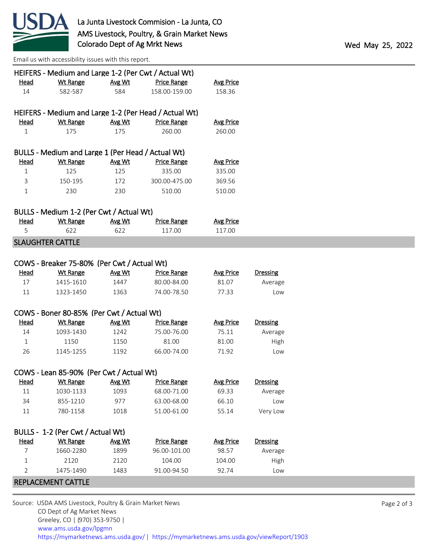

[Email us with accessibility issues with this report.](mailto:mars@ams.usda.gov?subject=508%20issue)

|                   |                                                   |               | HEIFERS - Medium and Large 1-2 (Per Cwt / Actual Wt)  |                            |                 |  |
|-------------------|---------------------------------------------------|---------------|-------------------------------------------------------|----------------------------|-----------------|--|
| <u>Head</u><br>14 | <b>Wt Range</b><br>582-587                        | Avg Wt<br>584 | <b>Price Range</b><br>158.00-159.00                   | <b>Avg Price</b><br>158.36 |                 |  |
|                   |                                                   |               |                                                       |                            |                 |  |
|                   |                                                   |               | HEIFERS - Medium and Large 1-2 (Per Head / Actual Wt) |                            |                 |  |
| <u>Head</u>       | <b>Wt Range</b>                                   | Avg Wt        | Price Range                                           | <b>Avg Price</b>           |                 |  |
| $\mathbf 1$       | 175                                               | 175           | 260.00                                                | 260.00                     |                 |  |
|                   |                                                   |               |                                                       |                            |                 |  |
|                   | BULLS - Medium and Large 1 (Per Head / Actual Wt) |               |                                                       |                            |                 |  |
| <u>Head</u>       | <b>Wt Range</b>                                   | Avg Wt        | <b>Price Range</b>                                    | <b>Avg Price</b>           |                 |  |
| $\mathbf{1}$      | 125                                               | 125           | 335.00                                                | 335.00                     |                 |  |
| 3                 | 150-195                                           | 172           | 300.00-475.00                                         | 369.56                     |                 |  |
| $\mathbf{1}$      | 230                                               | 230           | 510.00                                                | 510.00                     |                 |  |
|                   |                                                   |               |                                                       |                            |                 |  |
|                   | BULLS - Medium 1-2 (Per Cwt / Actual Wt)          |               |                                                       |                            |                 |  |
| <u>Head</u>       | <b>Wt Range</b>                                   | Avg Wt        | <b>Price Range</b>                                    | <b>Avg Price</b>           |                 |  |
| 5                 | 622                                               | 622           | 117.00                                                | 117.00                     |                 |  |
|                   | <b>SLAUGHTER CATTLE</b>                           |               |                                                       |                            |                 |  |
|                   |                                                   |               |                                                       |                            |                 |  |
|                   | COWS - Breaker 75-80% (Per Cwt / Actual Wt)       |               |                                                       |                            |                 |  |
| <b>Head</b>       | <b>Wt Range</b>                                   | Avg Wt        | <b>Price Range</b>                                    | <b>Avg Price</b>           | <b>Dressing</b> |  |
| 17                | 1415-1610                                         | 1447          | 80.00-84.00                                           | 81.07                      | Average         |  |
| 11                | 1323-1450                                         | 1363          | 74.00-78.50                                           | 77.33                      | Low             |  |
|                   | COWS - Boner 80-85% (Per Cwt / Actual Wt)         |               |                                                       |                            |                 |  |
| <u>Head</u>       | <b>Wt Range</b>                                   | Avg Wt        | <b>Price Range</b>                                    | <b>Avg Price</b>           | Dressing        |  |
| 14                | 1093-1430                                         | 1242          | 75.00-76.00                                           | 75.11                      | Average         |  |
| $\mathbf{1}$      | 1150                                              | 1150          | 81.00                                                 | 81.00                      | High            |  |
| 26                | 1145-1255                                         | 1192          | 66.00-74.00                                           | 71.92                      | Low             |  |
|                   |                                                   |               |                                                       |                            |                 |  |
|                   | COWS - Lean 85-90% (Per Cwt / Actual Wt)          |               |                                                       |                            |                 |  |
| <b>Head</b>       | <b>Wt Range</b>                                   | Avg Wt        | <b>Price Range</b>                                    | <b>Avg Price</b>           | <b>Dressing</b> |  |
| 11                | 1030-1133                                         | 1093          | 68.00-71.00                                           | 69.33                      | Average         |  |
| 34                | 855-1210                                          | 977           | 63.00-68.00                                           | 66.10                      | Low             |  |
| 11                | 780-1158                                          | 1018          | 51.00-61.00                                           | 55.14                      | Very Low        |  |
|                   |                                                   |               |                                                       |                            |                 |  |
|                   | BULLS - 1-2 (Per Cwt / Actual Wt)                 |               |                                                       |                            |                 |  |
| Head              | <b>Wt Range</b>                                   | Avg Wt        | <b>Price Range</b>                                    | <b>Avg Price</b>           | <b>Dressing</b> |  |
| 7                 | 1660-2280                                         | 1899          | 96.00-101.00                                          | 98.57                      | Average         |  |
| 1                 | 2120                                              | 2120          | 104.00                                                | 104.00                     | High            |  |
| 2                 | 1475-1490                                         | 1483          | 91.00-94.50                                           | 92.74                      | Low             |  |
|                   | REPLACEMENT CATTLE                                |               |                                                       |                            |                 |  |
|                   |                                                   |               |                                                       |                            |                 |  |